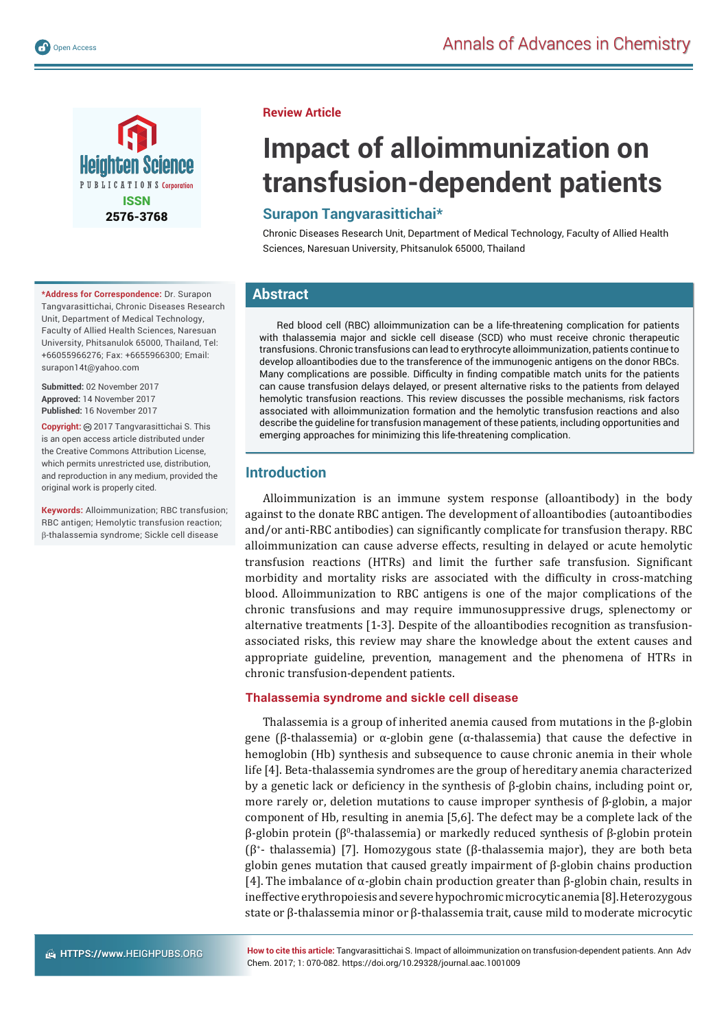

**\*Address for Correspondence:** Dr. Surapon Tangvarasittichai, Chronic Diseases Research Unit, Department of Medical Technology, Faculty of Allied Health Sciences, Naresuan University, Phitsanulok 65000, Thailand, Tel: +66055966276; Fax: +6655966300; Email: surapon14t@yahoo.com

**Submitted:** 02 November 2017 **Approved:** 14 November 2017 **Published:** 16 November 2017

**Copyright:** 2017 Tangvarasittichai S. This is an open access article distributed under the Creative Commons Attribution License, which permits unrestricted use, distribution, and reproduction in any medium, provided the original work is properly cited.

**Keywords:** Alloimmunization; RBC transfusion; RBC antigen; Hemolytic transfusion reaction; -thalassemia syndrome; Sickle cell disease

#### **Review Article**

# **Impact of alloimmunization on transfusion-dependent patients**

# **Surapon Tangvarasittichai\***

Chronic Diseases Research Unit, Department of Medical Technology, Faculty of Allied Health Sciences, Naresuan University, Phitsanulok 65000, Thailand

# **Abstract**

Red blood cell (RBC) alloimmunization can be a life-threatening complication for patients with thalassemia major and sickle cell disease (SCD) who must receive chronic therapeutic transfusions. Chronic transfusions can lead to erythrocyte alloimmunization, patients continue to develop alloantibodies due to the transference of the immunogenic antigens on the donor RBCs. Many complications are possible. Difficulty in finding compatible match units for the patients can cause transfusion delays delayed, or present alternative risks to the patients from delayed hemolytic transfusion reactions. This review discusses the possible mechanisms, risk factors associated with alloimmunization formation and the hemolytic transfusion reactions and also describe the guideline for transfusion management of these patients, including opportunities and emerging approaches for minimizing this life-threatening complication.

## **Introduction**

Alloimmunization is an immune system response (alloantibody) in the body against to the donate RBC antigen. The development of alloantibodies (autoantibodies and/or anti-RBC antibodies) can significantly complicate for transfusion therapy. RBC alloimmunization can cause adverse effects, resulting in delayed or acute hemolytic transfusion reactions (HTRs) and limit the further safe transfusion. Significant morbidity and mortality risks are associated with the difficulty in cross-matching blood. Alloimmunization to RBC antigens is one of the major complications of the chronic transfusions and may require immunosuppressive drugs, splenectomy or alternative treatments [1-3]. Despite of the alloantibodies recognition as transfusionassociated risks, this review may share the knowledge about the extent causes and appropriate guideline, prevention, management and the phenomena of HTRs in chronic transfusion-dependent patients.

#### **Thalassemia syndrome and sickle cell disease**

Thalassemia is a group of inherited anemia caused from mutations in the β-globin gene (β-thalassemia) or α-globin gene (α-thalassemia) that cause the defective in hemoglobin (Hb) synthesis and subsequence to cause chronic anemia in their whole life [4]. Beta-thalassemia syndromes are the group of hereditary anemia characterized by a genetic lack or deficiency in the synthesis of  $\beta$ -globin chains, including point or, more rarely or, deletion mutations to cause improper synthesis of β-globin, a major component of Hb, resulting in anemia [5,6]. The defect may be a complete lack of the  $β$ -globin protein ( $β$ <sup>0</sup>-thalassemia) or markedly reduced synthesis of  $β$ -globin protein (β+ - thalassemia) [7]. Homozygous state (β-thalassemia major), they are both beta globin genes mutation that caused greatly impairment of β-globin chains production [4]. The imbalance of α-globin chain production greater than β-globin chain, results in ineffective erythropoiesis and severe hypochromic microcytic anemia [8]. Heterozygous state or β-thalassemia minor or β-thalassemia trait, cause mild to moderate microcytic

**How to cite this article:** Tangvarasittichai S. Impact of alloimmunization on transfusion-dependent patients. Ann Adv Chem. 2017; 1: 070-082. https://doi.org/10.29328/journal.aac.1001009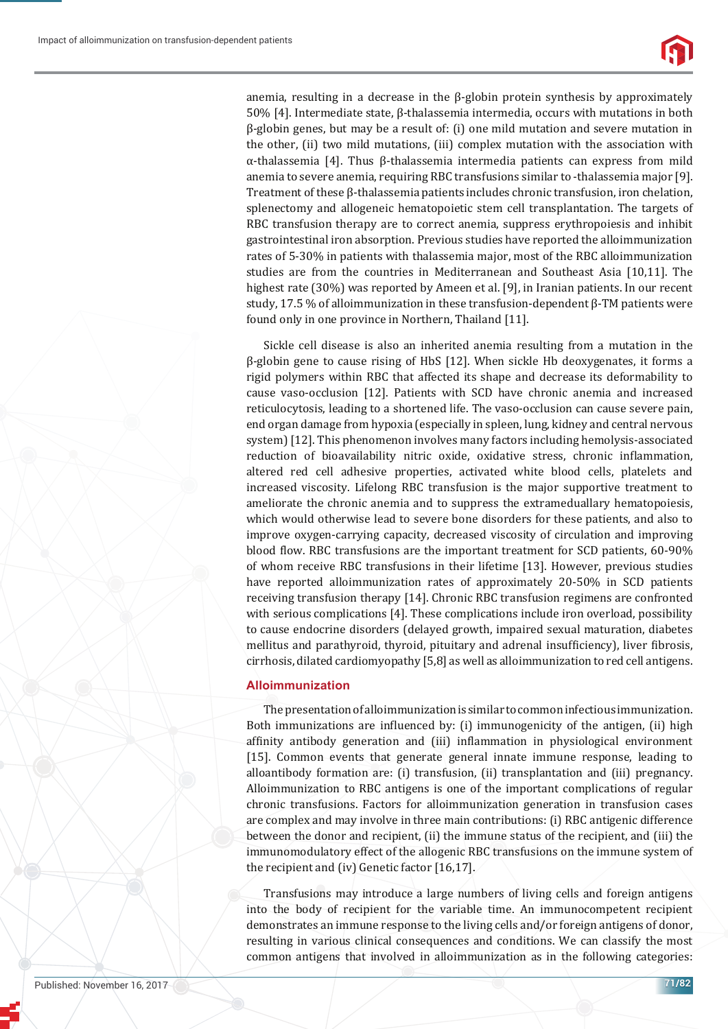anemia, resulting in a decrease in the β-globin protein synthesis by approximately 50% [4]. Intermediate state, β-thalassemia intermedia, occurs with mutations in both β-globin genes, but may be a result of: (i) one mild mutation and severe mutation in the other, (ii) two mild mutations, (iii) complex mutation with the association with α-thalassemia [4]. Thus β-thalassemia intermedia patients can express from mild anemia to severe anemia, requiring RBC transfusions similar to -thalassemia major [9]. Treatment of these β-thalassemia patients includes chronic transfusion, iron chelation, splenectomy and allogeneic hematopoietic stem cell transplantation. The targets of RBC transfusion therapy are to correct anemia, suppress erythropoiesis and inhibit gastrointestinal iron absorption. Previous studies have reported the alloimmunization rates of 5-30% in patients with thalassemia major, most of the RBC alloimmunization studies are from the countries in Mediterranean and Southeast Asia [10,11]. The highest rate (30%) was reported by Ameen et al. [9], in Iranian patients. In our recent study, 17.5 % of alloimmunization in these transfusion-dependent β-TM patients were found only in one province in Northern, Thailand [11].

Sickle cell disease is also an inherited anemia resulting from a mutation in the β-globin gene to cause rising of HbS [12]. When sickle Hb deoxygenates, it forms a rigid polymers within RBC that affected its shape and decrease its deformability to cause vaso-occlusion [12]. Patients with SCD have chronic anemia and increased reticulocytosis, leading to a shortened life. The vaso-occlusion can cause severe pain, end organ damage from hypoxia (especially in spleen, lung, kidney and central nervous system) [12]. This phenomenon involves many factors including hemolysis-associated reduction of bioavailability nitric oxide, oxidative stress, chronic inflammation, altered red cell adhesive properties, activated white blood cells, platelets and increased viscosity. Lifelong RBC transfusion is the major supportive treatment to ameliorate the chronic anemia and to suppress the extrameduallary hematopoiesis, which would otherwise lead to severe bone disorders for these patients, and also to improve oxygen-carrying capacity, decreased viscosity of circulation and improving blood flow. RBC transfusions are the important treatment for SCD patients, 60-90% of whom receive RBC transfusions in their lifetime [13]. However, previous studies have reported alloimmunization rates of approximately 20-50% in SCD patients receiving transfusion therapy [14]. Chronic RBC transfusion regimens are confronted with serious complications [4]. These complications include iron overload, possibility to cause endocrine disorders (delayed growth, impaired sexual maturation, diabetes mellitus and parathyroid, thyroid, pituitary and adrenal insufficiency), liver fibrosis, cirrhosis, dilated cardiomyopathy [5,8] as well as alloimmunization to red cell antigens.

#### **Alloimmunization**

The presentation of alloimmunization is similar to common infectious immunization. Both immunizations are influenced by: (i) immunogenicity of the antigen, (ii) high affinity antibody generation and (iii) inflammation in physiological environment [15]. Common events that generate general innate immune response, leading to alloantibody formation are: (i) transfusion, (ii) transplantation and (iii) pregnancy. Alloimmunization to RBC antigens is one of the important complications of regular chronic transfusions. Factors for alloimmunization generation in transfusion cases are complex and may involve in three main contributions: (i) RBC antigenic difference between the donor and recipient, (ii) the immune status of the recipient, and (iii) the immunomodulatory effect of the allogenic RBC transfusions on the immune system of the recipient and (iv) Genetic factor [16,17].

Transfusions may introduce a large numbers of living cells and foreign antigens into the body of recipient for the variable time. An immunocompetent recipient demonstrates an immune response to the living cells and/or foreign antigens of donor, resulting in various clinical consequences and conditions. We can classify the most common antigens that involved in alloimmunization as in the following categories: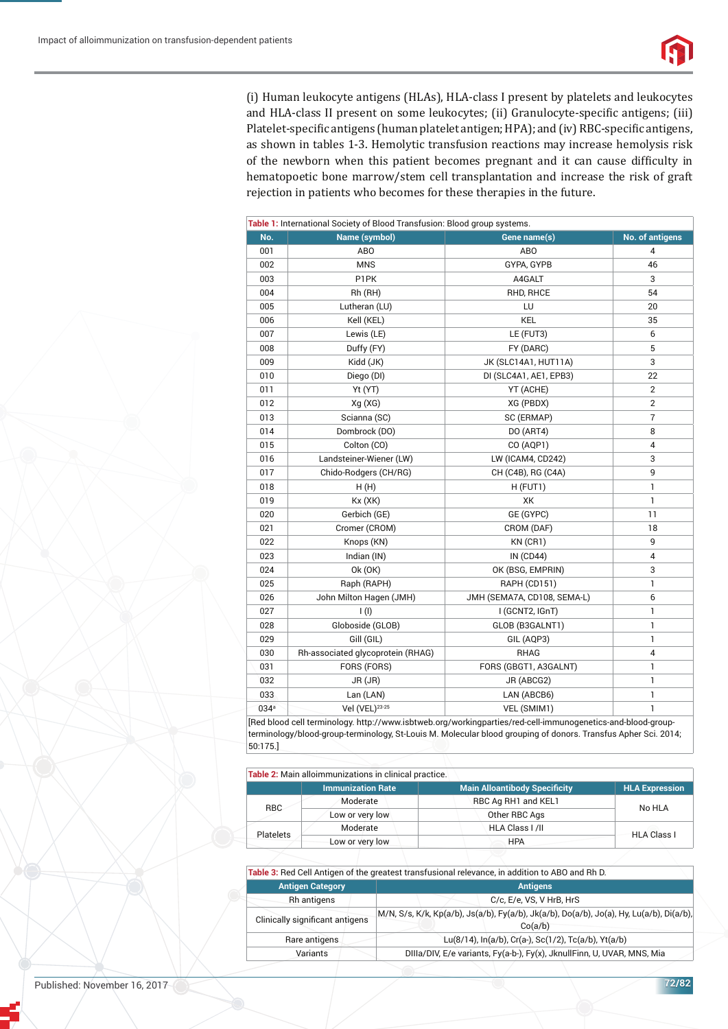(i) Human leukocyte antigens (HLAs), HLA-class I present by platelets and leukocytes and HLA-class II present on some leukocytes; (ii) Granulocyte-specific antigens; (iii) Platelet-specific antigens (human platelet antigen; HPA); and (iv) RBC-specific antigens, as shown in tables 1-3. Hemolytic transfusion reactions may increase hemolysis risk of the newborn when this patient becomes pregnant and it can cause difficulty in hematopoetic bone marrow/stem cell transplantation and increase the risk of graft rejection in patients who becomes for these therapies in the future.

| Table 1: International Society of Blood Transfusion: Blood group systems. |                                                    |                                                          |                        |  |
|---------------------------------------------------------------------------|----------------------------------------------------|----------------------------------------------------------|------------------------|--|
| No.                                                                       | Name (symbol)                                      | Gene name(s)                                             | <b>No. of antigens</b> |  |
| 001                                                                       | ABO                                                | AB <sub>O</sub>                                          | 4                      |  |
| 002                                                                       | <b>MNS</b>                                         | GYPA, GYPB                                               | 46                     |  |
| 003                                                                       | P1PK                                               | A4GALT                                                   | 3                      |  |
| 004                                                                       | Rh (RH)                                            | RHD, RHCE                                                | 54                     |  |
| 005                                                                       | Lutheran (LU)                                      | LU                                                       | 20                     |  |
| 006                                                                       | Kell (KEL)                                         | <b>KEL</b>                                               | 35                     |  |
| 007                                                                       | Lewis (LE)                                         | LE (FUT3)                                                | 6                      |  |
| 008                                                                       | Duffy (FY)                                         | FY (DARC)                                                | 5                      |  |
| 009                                                                       | Kidd (JK)                                          | JK (SLC14A1, HUT11A)                                     | 3                      |  |
| 010                                                                       | Diego (DI)                                         | DI (SLC4A1, AE1, EPB3)                                   | 22                     |  |
| 011                                                                       | Yt (YT)                                            | YT (ACHE)                                                | 2                      |  |
| 012                                                                       | Xg(XG)                                             | XG (PBDX)                                                | 2                      |  |
| 013                                                                       | Scianna (SC)                                       | SC (ERMAP)                                               | 7                      |  |
| 014                                                                       | Dombrock (DO)                                      | DO (ART4)                                                | 8                      |  |
| 015                                                                       | Colton (CO)                                        | CO (AQP1)                                                | 4                      |  |
| 016                                                                       | Landsteiner-Wiener (LW)                            | LW (ICAM4, CD242)                                        | 3                      |  |
| 017                                                                       | Chido-Rodgers (CH/RG)                              | CH (C4B), RG (C4A)                                       | 9                      |  |
| 018                                                                       | H(H)                                               | H (FUT1)                                                 | 1                      |  |
| 019                                                                       | Kx(XK)                                             | XK                                                       | $\mathbf{1}$           |  |
| 020                                                                       | Gerbich (GE)                                       | GE (GYPC)                                                | 11                     |  |
| 021                                                                       | Cromer (CROM)                                      | CROM (DAF)                                               | 18                     |  |
| 022                                                                       | Knops (KN)                                         | KN (CR1)                                                 | 9                      |  |
| 023                                                                       | Indian (IN)                                        | <b>IN (CD44)</b>                                         | 4                      |  |
| 024                                                                       | 0k (0K)                                            | OK (BSG, EMPRIN)                                         | 3                      |  |
| 025                                                                       | Raph (RAPH)                                        | <b>RAPH (CD151)</b>                                      | 1                      |  |
| 026                                                                       | John Milton Hagen (JMH)                            | JMH (SEMA7A, CD108, SEMA-L)                              | 6                      |  |
| 027                                                                       | I(I)                                               | I (GCNT2, IGnT)                                          | 1                      |  |
| 028                                                                       | Globoside (GLOB)                                   | GLOB (B3GALNT1)                                          | 1                      |  |
| 029                                                                       | Gill (GIL)                                         | GIL (AQP3)                                               | 1                      |  |
| 030                                                                       | Rh-associated glycoprotein (RHAG)                  | <b>RHAG</b>                                              | 4                      |  |
| 031                                                                       | FORS (FORS)                                        | FORS (GBGT1, A3GALNT)                                    | $\mathbf{1}$           |  |
| 032                                                                       | JR (JR)                                            | JR (ABCG2)                                               | 1                      |  |
| 033                                                                       | Lan (LAN)                                          | LAN (ABCB6)                                              | 1                      |  |
| 034 <sup>a</sup>                                                          | Vel (VEL) <sup>23-25</sup>                         | VEL (SMIM1)                                              | 1                      |  |
|                                                                           | [Ded blood call to mind our bttp://www.ichturah.or | معزل الممراط معارضه أخرو ويعرض وأبراء مبيراته<br>م ممنّد | أممم أمالممر           |  |

[Red blood cell terminology. http://www.isbtweb.org/workingparties/red-cell-immunogenetics-and-blood-groupterminology/blood-group-terminology, St-Louis M. Molecular blood grouping of donors. Transfus Apher Sci. 2014; 50:175.]

|                  | Table 2: Main alloimmunizations in clinical practice. |                                      |                       |
|------------------|-------------------------------------------------------|--------------------------------------|-----------------------|
|                  | <b>Immunization Rate</b>                              | <b>Main Alloantibody Specificity</b> | <b>HLA Expression</b> |
|                  | Moderate                                              | RBC Ag RH1 and KEL1                  | No HLA                |
| RBC              | Low or very low                                       | Other RBC Ags                        |                       |
|                  | Moderate                                              | HLA Class   / II                     | <b>HLA Class I</b>    |
| <b>Platelets</b> | Low or very low                                       | <b>HPA</b>                           |                       |

**Table 3:** Red Cell Antigen of the greatest transfusional relevance, in addition to ABO and Rh D. **Antigen Category Antigensis and Antigensis and Antigensis Antigensis and Antigensis Antigensis** Rh antigens C/c, E/e, VS, V HrB, HrS Clinically significant antigens M/N, S/s, K/k, Kp(a/b), Js(a/b), Fy(a/b), Jk(a/b), Do(a/b), Jo(a), Hy, Lu(a/b), Di(a/b), Co(a/b) Rare antigens Lu(8/14), In(a/b), Cr(a-), Sc(1/2), Tc(a/b), Yt(a/b) Variants DIIIa/DIV, E/e variants, Fy(a-b-), Fy(x), JknullFinn, U, UVAR, MNS, Mia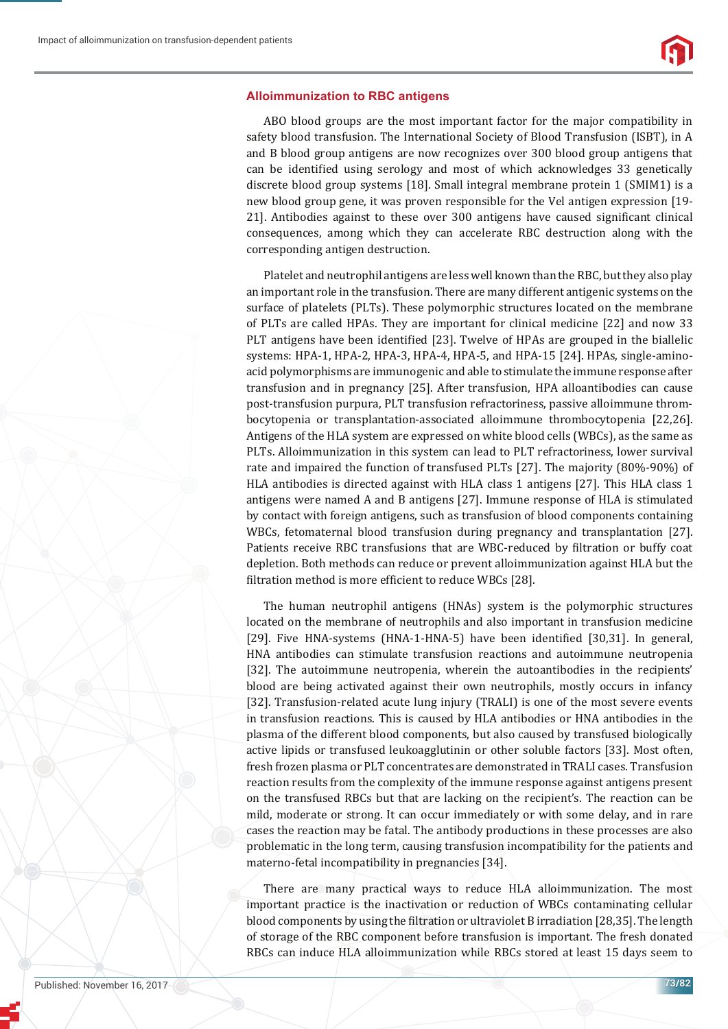#### **Alloimmunization to RBC antigens**

ABO blood groups are the most important factor for the major compatibility in safety blood transfusion. The International Society of Blood Transfusion (ISBT), in A and B blood group antigens are now recognizes over 300 blood group antigens that can be identified using serology and most of which acknowledges 33 genetically discrete blood group systems [18]. Small integral membrane protein 1 (SMIM1) is a new blood group gene, it was proven responsible for the Vel antigen expression [19- 21]. Antibodies against to these over 300 antigens have caused significant clinical consequences, among which they can accelerate RBC destruction along with the corresponding antigen destruction.

Platelet and neutrophil antigens are less well known than the RBC, but they also play an important role in the transfusion. There are many different antigenic systems on the surface of platelets (PLTs). These polymorphic structures located on the membrane of PLTs are called HPAs. They are important for clinical medicine [22] and now 33 PLT antigens have been identified [23]. Twelve of HPAs are grouped in the biallelic systems: HPA-1, HPA-2, HPA-3, HPA-4, HPA-5, and HPA-15 [24]. HPAs, single-aminoacid polymorphisms are immunogenic and able to stimulate the immune response after transfusion and in pregnancy [25]. After transfusion, HPA alloantibodies can cause post-transfusion purpura, PLT transfusion refractoriness, passive alloimmune thrombocytopenia or transplantation-associated alloimmune thrombocytopenia [22,26]. Antigens of the HLA system are expressed on white blood cells (WBCs), as the same as PLTs. Alloimmunization in this system can lead to PLT refractoriness, lower survival rate and impaired the function of transfused PLTs [27]. The majority (80%-90%) of HLA antibodies is directed against with HLA class 1 antigens [27]. This HLA class 1 antigens were named A and B antigens [27]. Immune response of HLA is stimulated by con tact with foreign antigens, such as transfusion of blood components containing WBCs, fetomaternal blood transfusion during pregnancy and transplantation [27]. Patients receive RBC transfusions that are WBC-reduced by filtration or buffy coat depletion. Both methods can reduce or prevent alloimmunization against HLA but the filtration method is more efficient to reduce WBCs [28].

The human neutrophil antigens (HNAs) system is the polymorphic structures located on the membrane of neutrophils and also important in transfusion medicine [29]. Five HNA-systems (HNA-1-HNA-5) have been identified [30,31]. In general, HNA antibodies can stimulate transfusion reactions and autoimmune neutropenia [32]. The autoimmune neutropenia, wherein the autoantibodies in the recipients' blood are being activated against their own neutrophils, mostly occurs in infancy [32]. Transfusion-related acute lung injury (TRALI) is one of the most severe events in transfusion reactions. This is caused by HLA antibodies or HNA antibodies in the plasma of the different blood components, but also caused by transfused biologically active lipids or transfused leukoagglutinin or other soluble factors [33]. Most often, fresh frozen plasma or PLT concentrates are demonstrated in TRALI cases. Transfusion reaction results from the complexity of the immune response against antigens present on the transfused RBCs but that are lacking on the recipient's. The reaction can be mild, moderate or strong. It can occur immediately or with some delay, and in rare cases the reaction may be fatal. The antibody productions in these processes are also problematic in the long term, causing transfusion incompatibility for the patients and materno-fetal incompatibility in pregnancies [34].

There are many practical ways to reduce HLA alloimmunization. The most important practice is the inactivation or reduction of WBCs contaminating cellular blood components by using the filtration or ultraviolet B irradiation [28,35]. The length of storage of the RBC component before transfusion is important. The fresh donated RBCs can induce HLA alloimmunization while RBCs stored at least 15 days seem to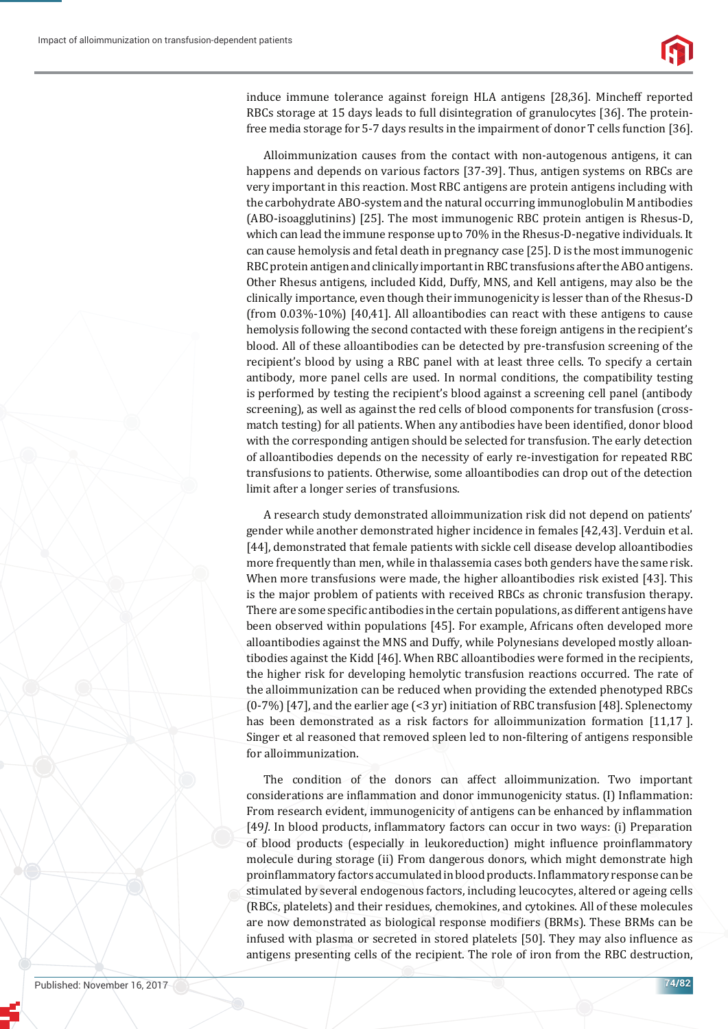

induce immune tolerance against foreign HLA antigens [28,36]. Mincheff reported RBCs storage at 15 days leads to full disintegration of granulocytes [36]. The proteinfree media storage for 5-7 days results in the impairment of donor T cells function [36].

Alloimmunization causes from the contact with non-autogenous antigens, it can happens and depends on various factors [37-39]. Thus, antigen systems on RBCs are very important in this reaction. Most RBC antigens are protein antigens including with the carbohydrate ABO-system and the natural occurring immunoglobulin M antibodies (ABO-isoagglutinins) [25]. The most immunogenic RBC protein antigen is Rhesus-D, which can lead the immune response up to 70% in the Rhesus-D-negative individuals. It can cause hemolysis and fetal death in pregnancy case [25]. D is the most immunogenic RBC protein antigen and clinically important in RBC transfusions after the ABO antigens. Other Rhesus antigens, included Kidd, Duffy, MNS, and Kell antigens, may also be the clinically importance, even though their immunogenicity is lesser than of the Rhesus-D (from 0.03%-10%) [40,41]. All alloantibodies can react with these antigens to cause hemolysis following the second contacted with these foreign antigens in the recipient's blood. All of these alloantibodies can be detected by pre-transfusion screening of the recipient's blood by using a RBC panel with at least three cells. To specify a certain antibody, more panel cells are used. In normal conditions, the compatibility testing is performed by testing the recipient's blood against a screening cell panel (antibody screening), as well as against the red cells of blood components for transfusion (crossmatch testing) for all patients. When any antibodies have been identified, donor blood with the corresponding antigen should be selected for transfusion. The early detection of alloantibodies depends on the necessity of early re-investigation for repeated RBC transfusions to patients. Otherwise, some alloantibodies can drop out of the detection limit after a longer series of transfusions.

A research study demonstrated alloimmunization risk did not depend on patients' gender while another demonstrated higher incidence in females [42,43]. Verduin et al. [44], demonstrated that female patients with sickle cell disease develop alloantibodies more frequently than men, while in thalassemia cases both genders have the same risk. When more transfusions were made, the higher alloantibodies risk existed [43]. This is the major problem of patients with received RBCs as chronic transfusion therapy. There are some specific antibodies in the certain populations, as different antigens have been observed within populations [45]. For example, Africans often developed more alloan tibodies against the MNS and Duffy, while Polynesians developed mostly alloantibodies against the Kidd [46]. When RBC alloantibodies were formed in the recipients, the higher risk for developing hemolytic transfusion reactions occurred. The rate of the alloimmunization can be reduced when providing the extended phenotyped RBCs (0-7%) [47], and the earlier age (<3 yr) initiation of RBC transfusion [48]. Splenectomy has been demonstrated as a risk factors for alloimmunization formation [11,17]. Singer et al reasoned that removed spleen led to non-filtering of antigens responsible for alloimmunization.

The condition of the donors can affect alloimmunization. Two important considerations are inflammation and donor immunogenicity status. (I) Inflammation: From research evident, immunogenicity of antigens can be enhanced by inflammation [49]. In blood products, inflammatory factors can occur in two ways: (i) Preparation of blood products (especially in leukoreduction) might influence proinflammatory molecule during storage (ii) From dangerous donors, which might demonstrate high proinflammatory factors accumulated in blood products. Inflammatory response can be stimulated by several endogenous factors, including leucocytes, altered or ageing cells (RBCs, platelets) and their residues, chemokines, and cytokines. All of these molecules are now demonstrated as biological response modifiers (BRMs). These BRMs can be infused with plasma or secreted in stored platelets [50]. They may also influence as antigens presenting cells of the recipient. The role of iron from the RBC destruction,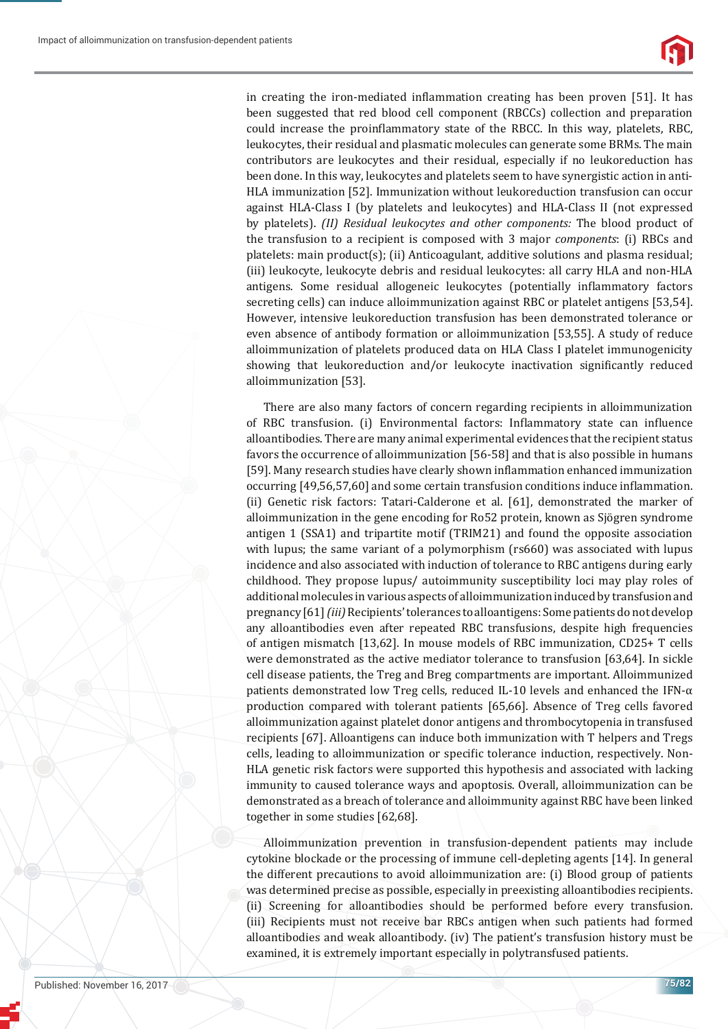

in creating the iron-mediated inflammation creating has been proven [51]. It has been suggested that red blood cell component (RBCCs) collection and preparation could increase the proinflammatory state of the RBCC. In this way, platelets, RBC, leukocytes, their residual and plasmatic molecules can generate some BRMs. The main contributors are leukocytes and their residual, especially if no leukoreduction has been done. In this way, leukocytes and platelets seem to have synergistic action in anti-HLA immunization [52]. Immunization without leukoreduction transfusion can occur against HLA-Class I (by platelets and leukocytes) and HLA-Class II (not expressed by platelets). *(II) Residual leukocytes and other components:* The blood product of the transfusion to a recipient is composed with 3 major *components*: (i) RBCs and platelets: main product(s); (ii) Anticoagulant, additive solutions and plasma residual; (iii) leukocyte, leukocyte debris and residual leukocytes: all carry HLA and non-HLA antigens. Some residual allogeneic leukocytes (potentially inflammatory factors secreting cells) can induce alloimmunization against RBC or platelet antigens [53,54]. However, intensive leukoreduction transfusion has been demonstrated tolerance or even absence of antibody formation or alloimmunization [53,55]. A study of reduce alloimmunization of platelets produced data on HLA Class I platelet immunogenicity showing that leukoreduction and/or leukocyte inactivation significantly reduced alloimmunization [53].

There are also many factors of concern regarding recipients in alloimmunization of RBC transfusion. (i) Environmental factors: Inflammatory state can influence alloantibodies. There are many animal experimental evidences that the recipient status favors the occurrence of alloimmunization [56-58] and that is also possible in humans [59]. Many research studies have clearly shown inflammation enhanced immunization occurring [49,56,57,60] and some certain transfusion conditions induce inflammation. (ii) Genetic risk factors: Tatari-Calderone et al. [61], demonstrated the marker of alloimmunization in the gene encoding for Ro52 protein, known as Sjögren syndrome antigen 1 (SSA1) and tripartite motif (TRIM21) and found the opposite association with lupus; the same variant of a polymorphism (rs660) was associated with lupus incidence and also associated with induction of tolerance to RBC antigens during early childhood. They propose lupus/ autoimmunity susceptibility loci may play roles of additional molecules in various aspects of alloimmunization induced by transfusion and pregnancy [61] *(iii)* Recipients' tolerances to alloantigens: Some patients do not develop any alloantibodies even after repeated RBC transfusions, despite high frequencies of antigen mismatch [13,62]. In mouse models of RBC immunization, CD25+ T cells were demonstrated as the active mediator tolerance to transfusion [63,64]. In sickle cell disease patients, the Treg and Breg compartments are important. Alloimmunized patients demonstrated low Treg cells, reduced IL-10 levels and enhanced the IFN- $\alpha$ production compared with tolerant patients [65,66]. Absence of Treg cells favored alloimmunization against platelet donor antigens and thrombocytopenia in transfused recipients [67]. Alloantigens can induce both immunization with T helpers and Tregs cells, leading to alloimmunization or specific tolerance induction, respectively. Non-HLA genetic risk factors were supported this hypothesis and associated with lacking immunity to caused tolerance ways and apoptosis. Overall, alloimmunization can be demonstrated as a breach of tolerance and alloimmunity against RBC have been linked together in some studies [62,68].

Alloimmunization prevention in transfusion-dependent patients may include cytokine blockade or the processing of immune cell-depleting agents [14]. In general the different precautions to avoid alloimmunization are: (i) Blood group of patients was determined precise as possible, especially in preexisting alloantibodies recipients. (ii) Screening for alloantibodies should be performed before every transfusion. (iii) Recipients must not receive bar RBCs antigen when such patients had formed alloantibodies and weak alloantibody. (iv) The patient's transfusion history must be examined, it is extremely important especially in polytransfused patients.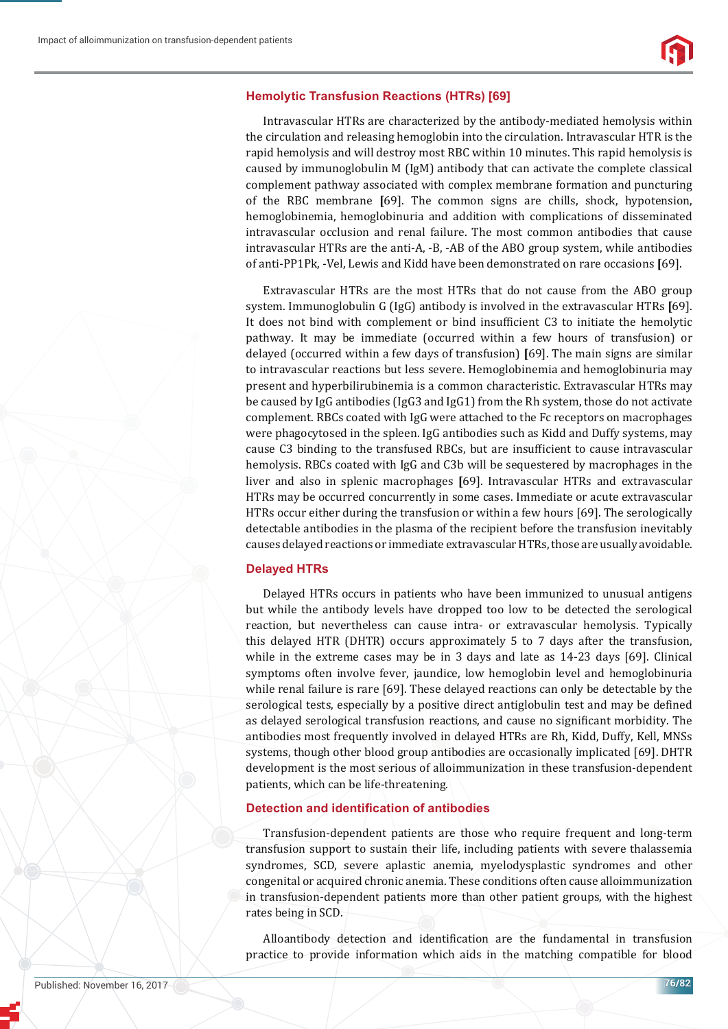#### **Hemolytic Transfusion Reactions (HTRs) [69]**

Intravascular HTRs are characterized by the antibody-mediated hemolysis within the circulation and releasing hemoglobin into the circulation. Intravascular HTR is the rapid hemolysis and will destroy most RBC within 10 minutes. This rapid hemolysis is caused by immunoglobulin M (IgM) antibody that can activate the complete classical complement pathway associated with complex membrane formation and puncturing of the RBC membrane **[**69]. The common signs are chills, shock, hypotension, hemoglobinemia, hemoglobinuria and addition with complications of disseminated intravascular occlusion and renal failure. The most common antibodies that cause intravascular HTRs are the anti-A, -B, -AB of the ABO group system, while antibodies of anti-PP1Pk, -Vel, Lewis and Kidd have been demonstrated on rare occasions **[**69].

Extravascular HTRs are the most HTRs that do not cause from the ABO group system. Immunoglobulin G (IgG) antibody is involved in the extravascular HTRs **[**69]. It does not bind with complement or bind insufficient C3 to initiate the hemolytic pathway. It may be immediate (occurred within a few hours of transfusion) or delayed (occurred within a few days of transfusion) **[**69]. The main signs are similar to intravascular reactions but less severe. Hemoglobinemia and hemoglobinuria may present and hyperbilirubinemia is a common characteristic. Extravascular HTRs may be caused by IgG antibodies (IgG3 and IgG1) from the Rh system, those do not activate complement. RBCs coated with IgG were attached to the Fc receptors on macrophages were phagocytosed in the spleen. IgG antibodies such as Kidd and Duffy systems, may cause C3 binding to the transfused RBCs, but are insufficient to cause intravascular hemolysis. RBCs coated with IgG and C3b will be sequestered by macrophages in the liver and also in splenic macrophages **[**69]. Intravascular HTRs and extravascular HTRs may be occurred concurrently in some cases. Immediate or acute extravascular HTRs occur either during the transfusion or within a few hours [69]. The serologically detectable antibodies in the plasma of the recipient before the transfusion inevitably causes delayed reactions or immediate extravascular HTRs, those are usually avoidable.

#### **Delayed HTRs**

Delayed HTRs occurs in patients who have been immunized to unusual antigens but while the antibody levels have dropped too low to be detected the serological reaction, but nevertheless can cause intra- or extravascular hemolysis. Typically this delayed HTR (DHTR) occurs approximately 5 to 7 days after the transfusion, while in the extreme cases may be in 3 days and late as 14-23 days [69]. Clinical symptoms often involve fever, jaundice, low hemoglobin level and hemoglobinuria while renal failure is rare [69]. These delayed reactions can only be detectable by the serological tests, especially by a positive direct antiglobulin test and may be defined as delayed serological transfusion reactions, and cause no significant morbidity. The antibodies most frequently involved in delayed HTRs are Rh, Kidd, Duffy, Kell, MNSs systems, though other blood group antibodies are occasionally implicated [69]. DHTR development is the most serious of alloimmunization in these transfusion-dependent patients, which can be life-threatening.

#### **Detection and identification of antibodies**

Transfusion-dependent patients are those who require frequent and long-term transfusion support to sustain their life, including patients with severe thalassemia syndromes, SCD, severe aplastic anemia, myelodysplastic syndromes and other congenital or acquired chronic anemia. These conditions often cause alloimmunization in transfusion-dependent patients more than other patient groups, with the highest rates being in SCD.

Alloantibody detection and identification are the fundamental in transfusion practice to provide information which aids in the matching compatible for blood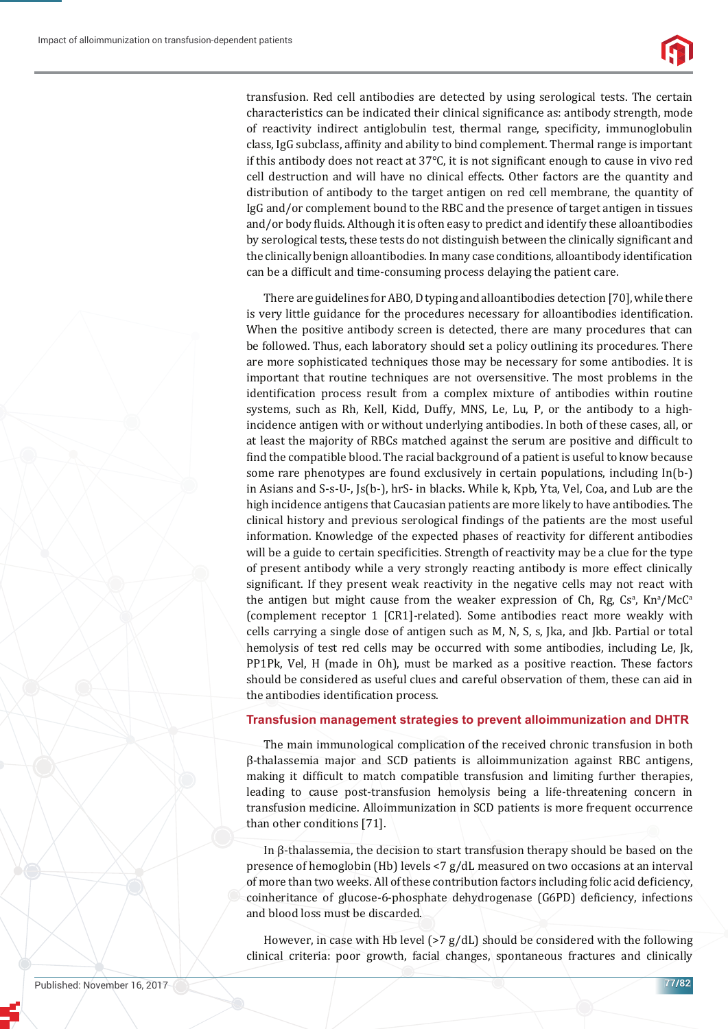transfusion. Red cell antibodies are detected by using serological tests. The certain characteristics can be indicated their clinical significance as: antibody strength, mode of reactivity indirect antiglobulin test, thermal range, specificity, immunoglobulin class, IgG subclass, affinity and ability to bind complement. Thermal range is important if this antibody does not react at  $37^{\circ}$ C, it is not significant enough to cause in vivo red cell destruction and will have no clinical effects. Other factors are the quantity and distribution of antibody to the target antigen on red cell membrane, the quantity of IgG and/or complement bound to the RBC and the presence of target antigen in tissues and/or body fluids. Although it is often easy to predict and identify these alloantibodies by serological tests, these tests do not distinguish between the clinically significant and the clinically benign alloantibodies. In many case conditions, alloantibody identification can be a difficult and time-consuming process delaying the patient care.

There are guidelines for ABO, D typing and alloantibodies detection [70], while there is very little guidance for the procedures necessary for alloantibodies identification. When the positive antibody screen is detected, there are many procedures that can be followed. Thus, each laboratory should set a policy outlining its procedures. There are more sophisticated techniques those may be necessary for some antibodies. It is important that routine techniques are not oversensitive. The most problems in the identification process result from a complex mixture of antibodies within routine systems, such as Rh, Kell, Kidd, Duffy, MNS, Le, Lu, P, or the antibody to a highincidence antigen with or without underlying antibodies. In both of these cases, all, or at least the majority of RBCs matched against the serum are positive and difficult to find the compatible blood. The racial background of a patient is useful to know because some rare phenotypes are found exclusively in certain populations, including In(b-) in Asians and S-s-U-, Js(b-), hrS- in blacks. While k, Kpb, Yta, Vel, Coa, and Lub are the high incidence antigens that Caucasian patients are more likely to have antibodies. The clinical history and previous serological findings of the patients are the most useful information. Knowledge of the expected phases of reactivity for different antibodies will be a guide to certain specificities. Strength of reactivity may be a clue for the type of present antibody while a very strongly reacting antibody is more effect clinically significant. If they present weak reactivity in the negative cells may not react with the antigen but might cause from the weaker expression of Ch, Rg, Cs<sup>a</sup>, Kn<sup>a</sup>/McC<sup>a</sup> (complement receptor 1 [CR1]-related). Some antibodies react more weakly with cells carrying a single dose of antigen such as M, N, S, s, Jka, and Jkb. Partial or total hemolysis of test red cells may be occurred with some antibodies, including Le, Jk, PP1Pk, Vel, H (made in Oh), must be marked as a positive reaction. These factors should be considered as useful clues and careful observation of them, these can aid in the antibodies identification process.

#### **Transfusion management strategies to prevent alloimmunization and DHTR**

The main immunological complication of the received chronic transfusion in both β-thalassemia major and SCD patients is alloimmunization against RBC antigens, making it difficult to match compatible transfusion and limiting further therapies, leading to cause post-transfusion hemolysis being a life-threatening concern in transfusion medicine. Alloimmunization in SCD patients is more frequent occurrence than other conditions [71].

In β-thalassemia, the decision to start transfusion therapy should be based on the presence of hemoglobin (Hb) levels <7 g/dL measured on two occasions at an interval of more than two weeks. All of these contribution factors including folic acid deficiency, coinheritance of glucose-6-phosphate dehydrogenase (G6PD) deficiency, infections and blood loss must be discarded.

However, in case with Hb level  $(>7 g/dL)$  should be considered with the following clinical criteria: poor growth, facial changes, spontaneous fractures and clinically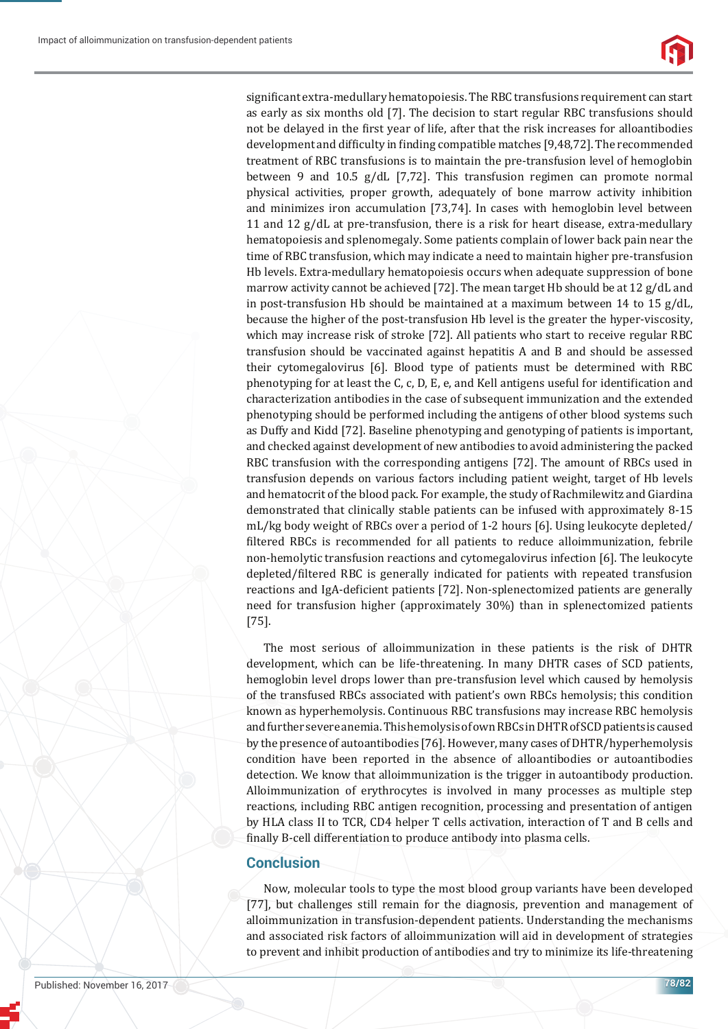

significant extra-medullary hematopoiesis. The RBC transfusions requirement can start as early as six months old [7]. The decision to start regular RBC transfusions should not be delayed in the first year of life, after that the risk increases for alloantibodies development and difficulty in finding compatible matches [9,48,72]. The recommended treatment of RBC transfusions is to maintain the pre-transfusion level of hemoglobin between 9 and 10.5 g/dL [7,72]. This transfusion regimen can promote normal physical activities, proper growth, adequately of bone marrow activity inhibition and minimizes iron accumulation [73,74]. In cases with hemoglobin level between 11 and 12  $g/dL$  at pre-transfusion, there is a risk for heart disease, extra-medullary hematopoiesis and splenomegaly. Some patients complain of lower back pain near the time of RBC transfusion, which may indicate a need to maintain higher pre-transfusion Hb levels. Extra-medullary hematopoiesis occurs when adequate suppression of bone marrow activity cannot be achieved [72]. The mean target Hb should be at 12 g/dL and in post-transfusion Hb should be maintained at a maximum between 14 to 15  $g/dL$ , because the higher of the post-transfusion Hb level is the greater the hyper-viscosity, which may increase risk of stroke [72]. All patients who start to receive regular RBC transfusion should be vaccinated against hepatitis A and B and should be assessed their cytomegalovirus [6]. Blood type of patients must be determined with RBC phenotyping for at least the C, c, D, E, e, and Kell antigens useful for identification and characterization antibodies in the case of subsequent immunization and the extended phenotyping should be performed including the antigens of other blood systems such as Duffy and Kidd [72]. Baseline phenotyping and genotyping of patients is important, and checked against development of new antibodies to avoid administering the packed RBC transfusion with the corresponding antigens [72]. The amount of RBCs used in transfusion depends on various factors including patient weight, target of Hb levels and hematocrit of the blood pack. For example, the study of Rachmilewitz and Giardina demonstrated that clinically stable patients can be infused with approximately 8-15 mL/kg body weight of RBCs over a period of 1-2 hours [6]. Using leukocyte depleted/ filtered RBCs is recommended for all patients to reduce alloimmunization, febrile non-hemolytic transfusion reactions and cytomegalovirus infection [6]. The leukocyte depleted/filtered RBC is generally indicated for patients with repeated transfusion reactions and IgA-deficient patients [72]. Non-splenectomized patients are generally need for transfusion higher (approximately 30%) than in splenectomized patients [75].

The most serious of alloimmunization in these patients is the risk of DHTR development, which can be life-threatening. In many DHTR cases of SCD patients, hemoglobin level drops lower than pre-transfusion level which caused by hemolysis of the transfused RBCs associated with patient's own RBCs hemolysis; this condition known as hyperhemolysis. Continuous RBC transfusions may increase RBC hemolysis and further severe anemia. This hemolysis of own RBCs in DHTR of SCD patients is caused by the presence of autoantibodies [76]. However, many cases of DHTR/hyperhemolysis condition have been reported in the absence of alloantibodies or autoantibodies detection. We know that alloimmunization is the trigger in autoantibody production. Alloimmunization of erythrocytes is involved in many processes as multiple step reactions, including RBC antigen recognition, processing and presentation of antigen by HLA class II to TCR, CD4 helper T cells activation, interaction of T and B cells and finally B-cell differentiation to produce antibody into plasma cells.

## **Conclusion**

Now, molecular tools to type the most blood group variants have been developed [77], but challenges still remain for the diagnosis, prevention and management of alloimmunization in transfusion-dependent patients. Understanding the mechanisms and associated risk factors of alloimmunization will aid in development of strategies to prevent and inhibit production of antibodies and try to minimize its life-threatening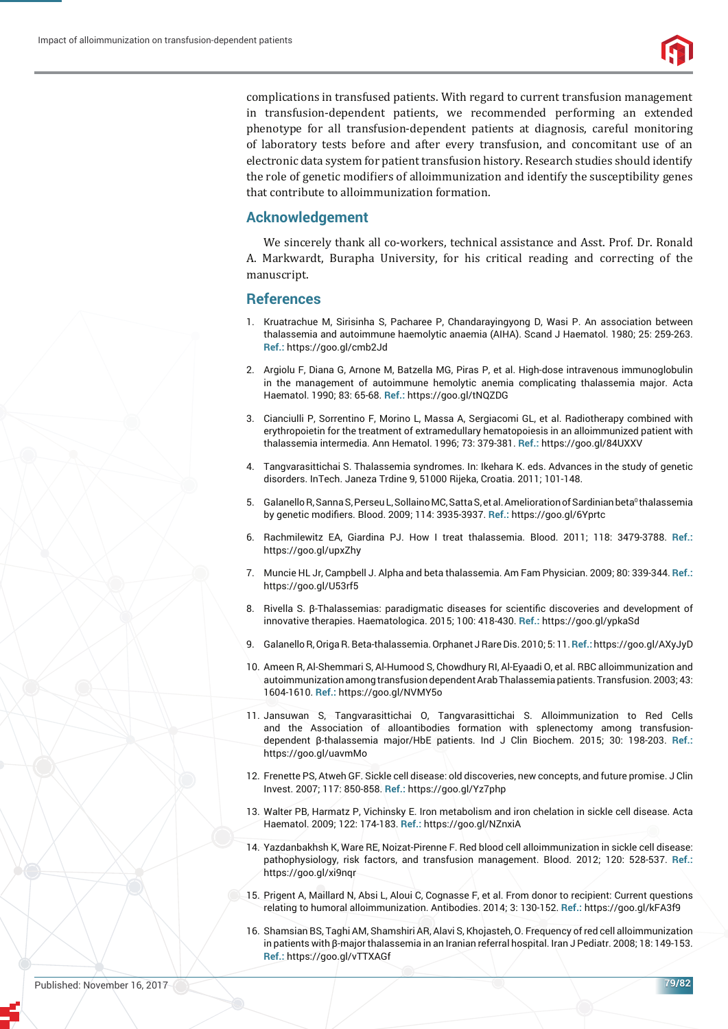

complications in transfused patients. With regard to current transfusion management in transfusion-dependent patients, we recommended performing an extended phenotype for all transfusion-dependent patients at diagnosis, careful monitoring of laboratory tests before and after every transfusion, and concomitant use of an electronic data system for patient transfusion history. Research studies should identify the role of genetic modifiers of alloimmunization and identify the susceptibility genes that contribute to alloimmunization formation.

## **Acknowledgement**

We sincerely thank all co-workers, technical assistance and Asst. Prof. Dr. Ronald A. Markwardt, Burapha University, for his critical reading and correcting of the manuscript.

#### **References**

- 1. Kruatrachue M, Sirisinha S, Pacharee P, Chandarayingyong D, Wasi P. An association between thalassemia and autoimmune haemolytic anaemia (AIHA). Scand J Haematol. 1980; 25: 259-263. **Ref.:** https://goo.gl/cmb2Jd
- 2. Argiolu F, Diana G, Arnone M, Batzella MG, Piras P, et al. High-dose intravenous immunoglobulin in the management of autoimmune hemolytic anemia complicating thalassemia major. Acta Haematol. 1990; 83: 65-68. **Ref.:** https://goo.gl/tNQZDG
- 3. Cianciulli P, Sorrentino F, Morino L, Massa A, Sergiacomi GL, et al. Radiotherapy combined with erythropoietin for the treatment of extramedullary hematopoiesis in an alloimmunized patient with thalassemia intermedia. Ann Hematol. 1996; 73: 379-381. **Ref.:** https://goo.gl/84UXXV
- 4. Tangvarasittichai S. Thalassemia syndromes. In: Ikehara K. eds. Advances in the study of genetic disorders. InTech. Janeza Trdine 9, 51000 Rijeka, Croatia. 2011; 101-148.
- 5. Galanello R, Sanna S, Perseu L, Sollaino MC, Satta S, et al. Amelioration of Sardinian beta<sup>0</sup> thalassemia by genetic modifiers. Blood. 2009; 114: 3935-3937. Ref.: https://goo.gl/6Yprtc
- 6. Rachmilewitz EA, Giardina PJ. How I treat thalassemia. Blood. 2011; 118: 3479-3788. **Ref.:** https://goo.gl/upxZhy
- 7. Muncie HL Jr, Campbell J. Alpha and beta thalassemia. Am Fam Physician. 2009; 80: 339-344. **Ref.:** https://goo.gl/U53rf5
- 8. Rivella S. β-Thalassemias: paradigmatic diseases for scientific discoveries and development of innovative therapies. Haematologica. 2015; 100: 418-430. **Ref.:** https://goo.gl/ypkaSd
- 9. Galanello R, Origa R. Beta-thalassemia. Orphanet J Rare Dis. 2010; 5: 11. **Ref.:** https://goo.gl/AXyJyD
- 10. Ameen R, Al-Shemmari S, Al-Humood S, Chowdhury RI, Al-Eyaadi O, et al. RBC alloimmunization and autoimmunization among transfusion dependent Arab Thalassemia patients. Transfusion. 2003; 43: 1604-1610. **Ref.:** https://goo.gl/NVMY5o
- 11. Jansuwan S, Tangvarasittichai O, Tangvarasittichai S. Alloimmunization to Red Cells and the Association of alloantibodies formation with splenectomy among transfusiondependent β-thalassemia major/HbE patients. Ind J Clin Biochem. 2015; 30: 198-203. **Ref.:** https://goo.gl/uavmMo
- 12. Frenette PS, Atweh GF. Sickle cell disease: old discoveries, new concepts, and future promise. J Clin Invest. 2007; 117: 850-858. **Ref.:** https://goo.gl/Yz7php
- 13. Walter PB, Harmatz P, Vichinsky E. Iron metabolism and iron chelation in sickle cell disease. Acta Haematol. 2009; 122: 174-183. **Ref.:** https://goo.gl/NZnxiA
- 14. Yazdanbakhsh K, Ware RE, Noizat-Pirenne F. Red blood cell alloimmunization in sickle cell disease: pathophysiology, risk factors, and transfusion management. Blood. 2012; 120: 528-537. **Ref.:** https://goo.gl/xi9nqr
- 15. Prigent A, Maillard N, Absi L, Aloui C, Cognasse F, et al. From donor to recipient: Current questions relating to humoral alloimmunization. Antibodies. 2014; 3: 130-152. **Ref.:** https://goo.gl/kFA3f9
- 16. Shamsian BS, Taghi AM, Shamshiri AR, Alavi S, Khojasteh, O. Frequency of red cell alloimmunization in patients with β-major thalassemia in an Iranian referral hospital. Iran J Pediatr. 2008; 18: 149-153. **Ref.:** https://goo.gl/vTTXAGf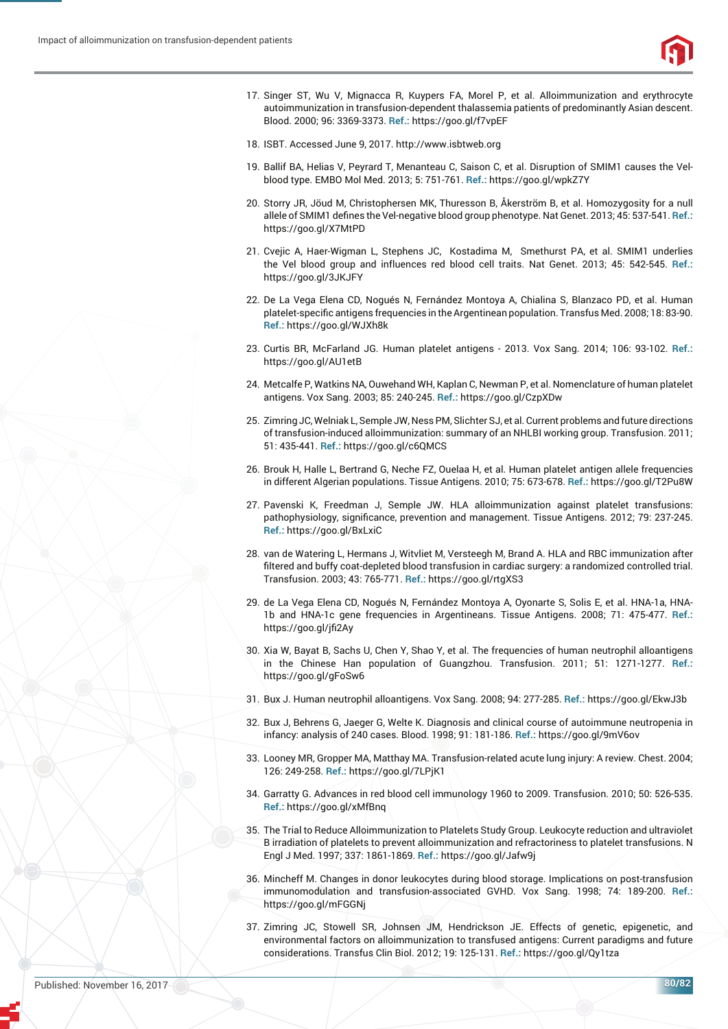

- 17. Singer ST, Wu V, Mignacca R, Kuypers FA, Morel P, et al. Alloimmunization and erythrocyte autoimmunization in transfusion-dependent thalassemia patients of predominantly Asian descent. Blood. 2000; 96: 3369-3373. **Ref.:** https://goo.gl/f7vpEF
- 18. ISBT. Accessed June 9, 2017. http://www.isbtweb.org
- 19. Ballif BA, Helias V, Peyrard T, Menanteau C, Saison C, et al. Disruption of SMIM1 causes the Velblood type. EMBO Mol Med. 2013; 5: 751-761. **Ref.:** https://goo.gl/wpkZ7Y
- 20. Storry JR, Jöud M, Christophersen MK, Thuresson B, Åkerström B, et al. Homozygosity for a null allele of SMIM1 defines the Vel-negative blood group phenotype. Nat Genet. 2013; 45: 537-541. Ref.: https://goo.gl/X7MtPD
- 21. Cvejic A, Haer-Wigman L, Stephens JC, Kostadima M, Smethurst PA, et al. SMIM1 underlies the Vel blood group and influences red blood cell traits. Nat Genet. 2013: 45: 542-545. Ref.: https://goo.gl/3JKJFY
- 22. De La Vega Elena CD, Nogués N, Fernández Montoya A, Chialina S, Blanzaco PD, et al. Human platelet-specific antigens frequencies in the Argentinean population. Transfus Med. 2008; 18: 83-90. **Ref.:** https://goo.gl/WJXh8k
- 23. Curtis BR, McFarland JG. Human platelet antigens 2013. Vox Sang. 2014; 106: 93-102. **Ref.:** https://goo.gl/AU1etB
- 24. Metcalfe P, Watkins NA, Ouwehand WH, Kaplan C, Newman P, et al. Nomenclature of human platelet antigens. Vox Sang. 2003; 85: 240-245. **Ref.:** https://goo.gl/CzpXDw
- 25. Zimring JC, Welniak L, Semple JW, Ness PM, Slichter SJ, et al. Current problems and future directions of transfusion-induced alloimmunization: summary of an NHLBI working group. Transfusion. 2011; 51: 435-441. **Ref.:** https://goo.gl/c6QMCS
- 26. Brouk H, Halle L, Bertrand G, Neche FZ, Ouelaa H, et al. Human platelet antigen allele frequencies in different Algerian populations. Tissue Antigens. 2010; 75: 673-678. **Ref.:** https://goo.gl/T2Pu8W
- 27. Pavenski K, Freedman J, Semple JW. HLA alloimmunization against platelet transfusions: pathophysiology, significance, prevention and management. Tissue Antigens. 2012; 79: 237-245. **Ref.:** https://goo.gl/BxLxiC
- 28. van de Watering L, Hermans J, Witvliet M, Versteegh M, Brand A. HLA and RBC immunization after filtered and buffy coat-depleted blood transfusion in cardiac surgery: a randomized controlled trial. Transfusion. 2003; 43: 765-771. **Ref.:** https://goo.gl/rtgXS3
- 29. de La Vega Elena CD, Nogués N, Fernández Montoya A, Oyonarte S, Solis E, et al. HNA-1a, HNA-1b and HNA-1c gene frequencies in Argentineans. Tissue Antigens. 2008; 71: 475-477. **Ref.:** https://goo.gl/jfi2Ay
- 30. Xia W, Bayat B, Sachs U, Chen Y, Shao Y, et al. The frequencies of human neutrophil alloantigens in the Chinese Han population of Guangzhou. Transfusion. 2011; 51: 1271-1277. **Ref.:** https://goo.gl/gFoSw6
- 31. Bux J. Human neutrophil alloantigens. Vox Sang. 2008; 94: 277-285. **Ref.:** https://goo.gl/EkwJ3b
- 32. Bux J, Behrens G, Jaeger G, Welte K. Diagnosis and clinical course of autoimmune neutropenia in infancy: analysis of 240 cases. Blood. 1998; 91: 181-186. **Ref.:** https://goo.gl/9mV6ov
- 33. Looney MR, Gropper MA, Matthay MA. Transfusion-related acute lung injury: A review. Chest. 2004; 126: 249-258. **Ref.:** https://goo.gl/7LPjK1
- 34. Garratty G. Advances in red blood cell immunology 1960 to 2009. Transfusion. 2010; 50: 526-535. **Ref.:** https://goo.gl/xMfBnq
- 35. The Trial to Reduce Alloimmunization to Platelets Study Group. Leukocyte reduction and ultraviolet B irradiation of platelets to prevent alloimmunization and refractoriness to platelet transfusions. N Engl J Med. 1997; 337: 1861-1869. **Ref.:** https://goo.gl/Jafw9j
- 36. Mincheff M. Changes in donor leukocytes during blood storage. Implications on post-transfusion immunomodulation and transfusion-associated GVHD. Vox Sang. 1998; 74: 189-200. **Ref.:** https://goo.gl/mFGGNj
- 37. Zimring JC, Stowell SR, Johnsen JM, Hendrickson JE. Effects of genetic, epigenetic, and environmental factors on alloimmunization to transfused antigens: Current paradigms and future considerations. Transfus Clin Biol. 2012; 19: 125-131. **Ref.:** https://goo.gl/Qy1tza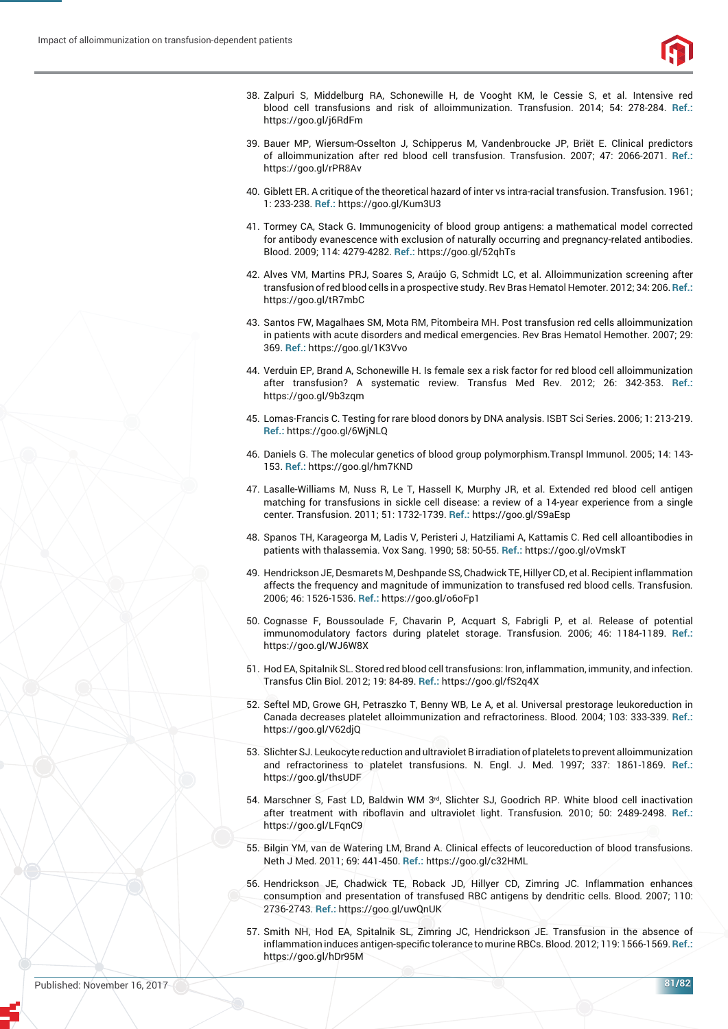

- 38. Zalpuri S, Middelburg RA, Schonewille H, de Vooght KM, le Cessie S, et al. Intensive red blood cell transfusions and risk of alloimmunization. Transfusion. 2014; 54: 278-284. **Ref.:** https://goo.gl/j6RdFm
- 39. Bauer MP, Wiersum-Osselton J, Schipperus M, Vandenbroucke JP, Briët E. Clinical predictors of alloimmunization after red blood cell transfusion. Transfusion. 2007; 47: 2066-2071. **Ref.:** https://goo.gl/rPR8Av
- 40. Giblett ER. A critique of the theoretical hazard of inter vs intra-racial transfusion. Transfusion. 1961; 1: 233-238. **Ref.:** https://goo.gl/Kum3U3
- 41. Tormey CA, Stack G. Immunogenicity of blood group antigens: a mathematical model corrected for antibody evanescence with exclusion of naturally occurring and pregnancy-related antibodies. Blood. 2009; 114: 4279-4282. **Ref.:** https://goo.gl/52qhTs
- 42. Alves VM, Martins PRJ, Soares S, Araújo G, Schmidt LC, et al. Alloimmunization screening after transfusion of red blood cells in a prospective study. Rev Bras Hematol Hemoter. 2012; 34: 206. **Ref.:** https://goo.gl/tR7mbC
- 43. Santos FW, Magalhaes SM, Mota RM, Pitombeira MH. Post transfusion red cells alloimmunization in patients with acute disorders and medical emergencies. Rev Bras Hematol Hemother. 2007; 29: 369. **Ref.:** https://goo.gl/1K3Vvo
- 44. Verduin EP, Brand A, Schonewille H. Is female sex a risk factor for red blood cell alloimmunization after transfusion? A systematic review. Transfus Med Rev. 2012; 26: 342-353. **Ref.:** https://goo.gl/9b3zqm
- 45. Lomas-Francis C. Testing for rare blood donors by DNA analysis. ISBT Sci Series. 2006; 1: 213-219. **Ref.:** https://goo.gl/6WjNLQ
- 46. Daniels G. The molecular genetics of blood group polymorphism.Transpl Immunol. 2005; 14: 143- 153. **Ref.:** https://goo.gl/hm7KND
- 47. Lasalle-Williams M, Nuss R, Le T, Hassell K, Murphy JR, et al. Extended red blood cell antigen matching for transfusions in sickle cell disease: a review of a 14-year experience from a single center. Transfusion. 2011; 51: 1732-1739. **Ref.:** https://goo.gl/S9aEsp
- 48. Spanos TH, Karageorga M, Ladis V, Peristeri J, Hatziliami A, Kattamis C. Red cell alloantibodies in patients with thalassemia. Vox Sang. 1990; 58: 50-55. **Ref.:** https://goo.gl/oVmskT
- 49. Hendrickson JE, Desmarets M, Deshpande SS, Chadwick TE, Hillyer CD, et al. Recipient inflammation affects the frequency and magnitude of immunization to transfused red blood cells. Transfusion*.*  2006; 46: 1526-1536. **Ref.:** https://goo.gl/o6oFp1
- 50. Cognasse F, Boussoulade F, Chavarin P, Acquart S, Fabrigli P, et al. Release of potential immunomodulatory factors during platelet storage. Transfusion*.* 2006; 46: 1184-1189. **Ref.:** https://goo.gl/WJ6W8X
- 51. Hod EA, Spitalnik SL. Stored red blood cell transfusions: Iron, inflammation, immunity, and infection. Transfus Clin Biol*.* 2012; 19: 84-89. **Ref.:** https://goo.gl/fS2q4X
- 52. Seftel MD, Growe GH, Petraszko T, Benny WB, Le A, et al. Universal prestorage leukoreduction in Canada decreases platelet alloimmunization and refractoriness. Blood*.* 2004; 103: 333-339. **Ref.:** https://goo.gl/V62djQ
- 53. Slichter SJ. Leukocyte reduction and ultraviolet B irradiation of platelets to prevent alloimmunization and refractoriness to platelet transfusions. N. Engl. J. Med*.* 1997; 337: 1861-1869. **Ref.:** https://goo.gl/thsUDF
- 54. Marschner S, Fast LD, Baldwin WM 3rd, Slichter SJ, Goodrich RP. White blood cell inactivation after treatment with riboflavin and ultraviolet light. Transfusion. 2010; 50: 2489-2498. Ref.: https://goo.gl/LFqnC9
- 55. Bilgin YM, van de Watering LM, Brand A. Clinical effects of leucoreduction of blood transfusions. Neth J Med*.* 2011; 69: 441-450. **Ref.:** https://goo.gl/c32HML
- 56. Hendrickson JE, Chadwick TE, Roback JD, Hillyer CD, Zimring JC. Inflammation enhances consumption and presentation of transfused RBC antigens by dendritic cells. Blood*.* 2007; 110: 2736-2743. **Ref.:** https://goo.gl/uwQnUK
- 57. Smith NH, Hod EA, Spitalnik SL, Zimring JC, Hendrickson JE. Transfusion in the absence of inflammation induces antigen-specific tolerance to murine RBCs. Blood. 2012; 119: 1566-1569. Ref.: https://goo.gl/hDr95M